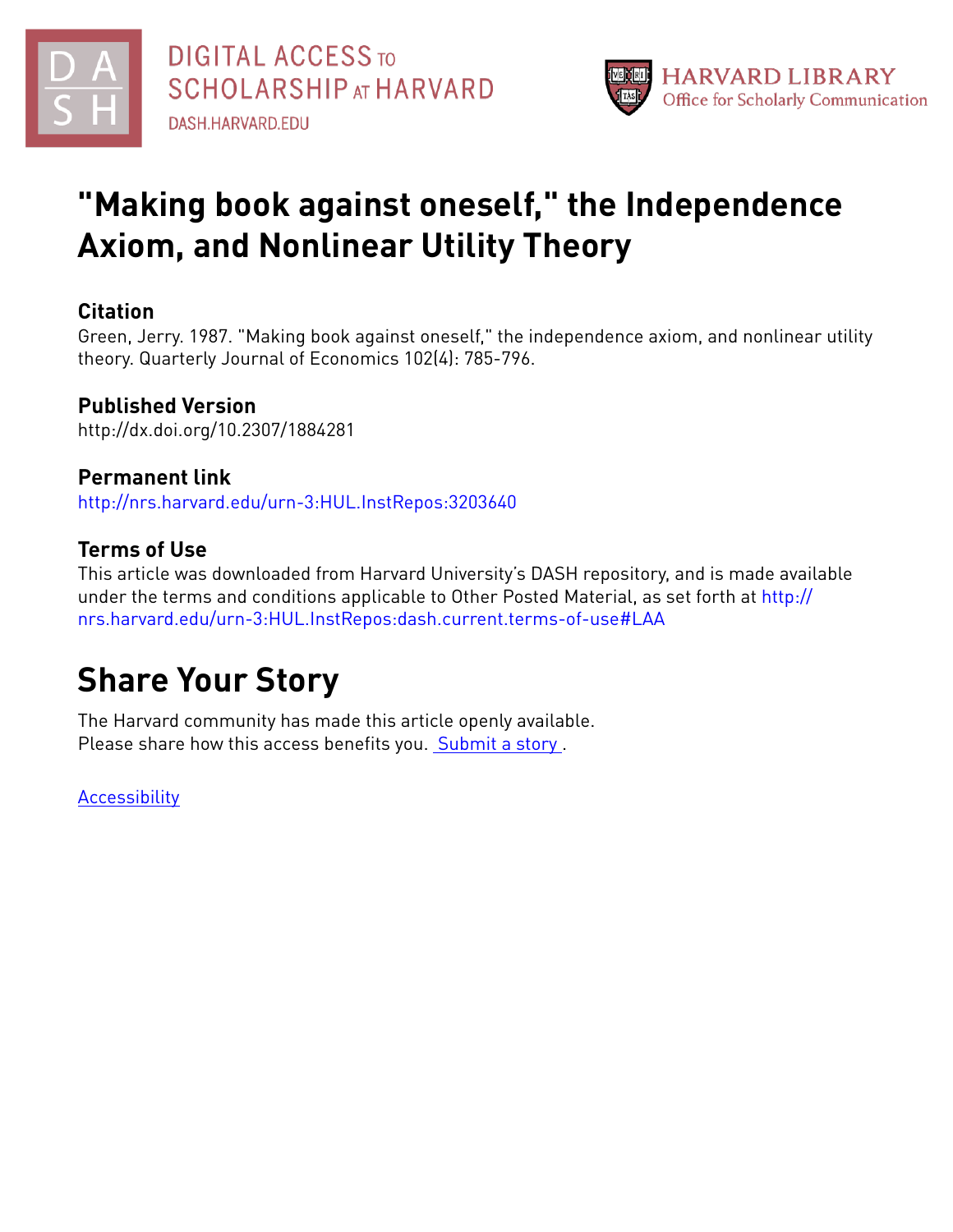



# **"Making book against oneself, " the Independence Axiom, and Nonlinear Utility Theory**

### **Citation**

Green, Jerry. 1987. "Making book against oneself," the independence axiom, and nonlinear utility theory. Quarterly Journal of Economics 102(4): 785-796.

## **Published Version**

http://dx.doi.org/10.2307/1884281

## **Permanent link**

<http://nrs.harvard.edu/urn-3:HUL.InstRepos:3203640>

## **Terms of Use**

This article was downloaded from Harvard University's DASH repository, and is made available under the terms and conditions applicable to Other Posted Material, as set forth at [http://](http://nrs.harvard.edu/urn-3:HUL.InstRepos:dash.current.terms-of-use#LAA) [nrs.harvard.edu/urn-3:HUL.InstRepos:dash.current.terms-of-use#LAA](http://nrs.harvard.edu/urn-3:HUL.InstRepos:dash.current.terms-of-use#LAA)

## **Share Your Story**

The Harvard community has made this article openly available. Please share how this access benefits you. [Submit](http://osc.hul.harvard.edu/dash/open-access-feedback?handle=&title=%22Making%20book%20against%20oneself,%22%20the%20Independence%20Axiom,%20and%20Nonlinear%20Utility%20Theory&community=1/1&collection=1/2&owningCollection1/2&harvardAuthors=ce1fd276875c296b2a714009efafc2f6&departmentEconomics) a story.

**[Accessibility](https://dash.harvard.edu/pages/accessibility)**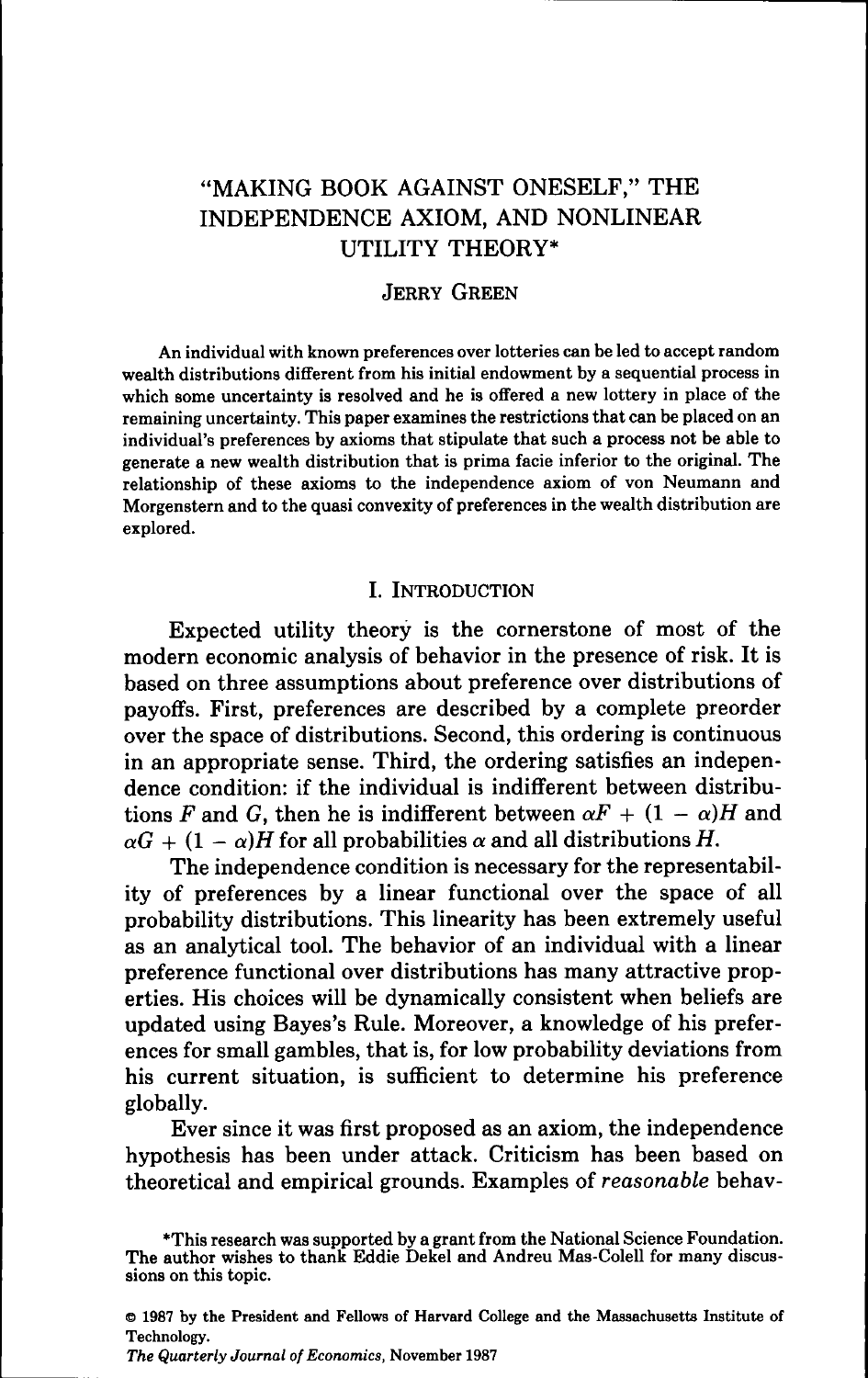### "MAKING BOOK AGAINST ONESELF," THE INDEPENDENCE AXIOM, AND NONLINEAR UTILITY THEORY\*

#### JERRY GREEN

An individual with known preferences over lotteries can be led to accept random wealth distributions different from his initial endowment by a sequential process in which some uncertainty is resolved and he is offered a new lottery in place of the remaining uncertainty. This paper examines the restrictions that can be placed on an individual's preferences by axioms that stipulate that such a process not be able to generate a new wealth distribution that is prima facie inferior to the original. The relationship of these axioms to the independence axiom of von Neumann and Morgenstern and to the quasi convexity of preferences in the wealth distribution are explored.

#### I. INTRODUCTION

Expected utility theory is the cornerstone of most of the modern economic analysis of behavior in the presence of risk. It is based on three assumptions about preference over distributions of payoffs. First, preferences are described by a complete preorder over the space of distributions. Second, this ordering is continuous in an appropriate sense. Third, the ordering satisfies an independence condition: if the individual is indifferent between distributions F and G, then he is indifferent between  $\alpha F + (1 - \alpha)H$  and  $\alpha G + (1 - \alpha)H$  for all probabilities  $\alpha$  and all distributions *H*.

The independence condition is necessary for the representability of preferences by a linear functional over the space of all probability distributions. This linearity has been extremely useful as an analytical tool. The behavior of an individual with a linear preference functional over distributions has many attractive properties. His choices will be dynamically consistent when beliefs are updated using Bayes's Rule. Moreover, a knowledge of his preferences for small gambles, that is, for low probability deviations from his current situation, is sufficient to determine his preference globally.

Ever since it was first proposed as an axiom, the independence hypothesis has been under attack. Criticism has been based on theoretical and empirical grounds. Examples of *reasonable* behav-

© 1987 by the President and Fellows of Harvard College and the Massachusetts Institute of Technology,

*The Quarterly Joumai of Economics,* November 1987

<sup>\*</sup>This research was supported by a grant from the National Science Foundation. The author wishes to thank Eddie Dekel and Andreu Mas-Colell for many discussions on this topic.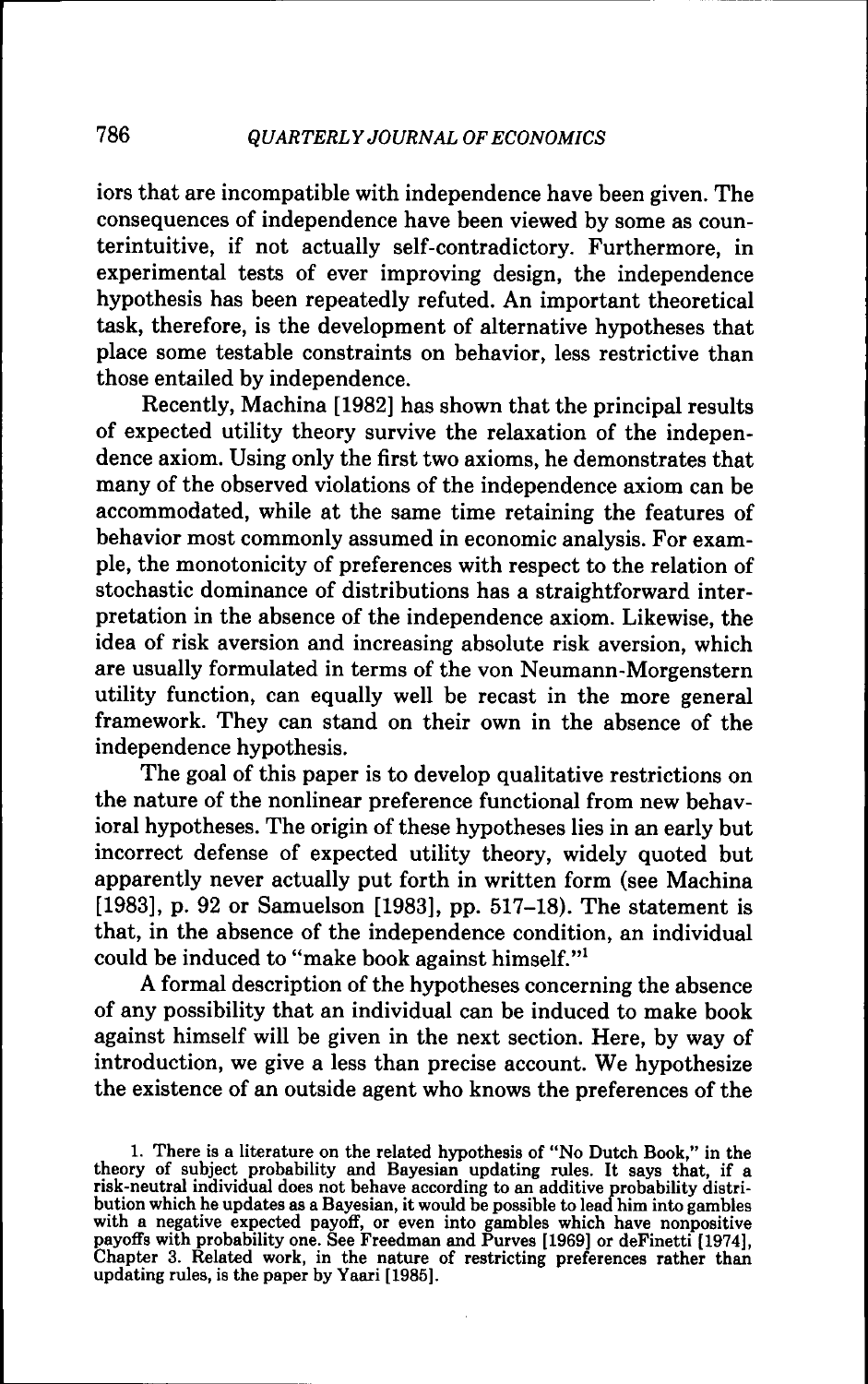iors that are incompatible with independence have been given. The consequences of independence have been viewed by some as counterintuitive, if not actually self-contradictory. Furthermore, in experimental tests of ever improving design, the independence hypothesis has been repeatedly refuted. An important theoretical task, therefore, is the development of alternative hypotheses that place some testable constraints on behavior, less restrictive than those entailed by independence.

Recently, Machina [1982] has shown that the principal results of expected utility theory survive the relaxation of the independence axiom. Using only the first two axioms, he demonstrates that many of the observed violations of the independence axiom can be accommodated, while at the same time retaining the features of behavior most commonly assumed in economic analysis. For example, the monotonicity of preferences with respect to the relation of stochastic dominance of distributions has a straightforward interpretation in the absence of the independence axiom. Likewise, the idea of risk aversion and increasing absolute risk aversion, which are usually formulated in terms of the von Neumann-Morgenstern utility function, can equally well be recast in the more general framework. They can stand on their own in the absence of the independence hypothesis.

The goal of this paper is to develop qualitative restrictions on the nature of the nonlinear preference functional from new behavioral hypotheses. The origin of these hypotheses lies in an early but incorrect defense of expected utility theory, widely quoted but apparently never actually put forth in written form (see Machina [1983], p. 92 or Samuelson [1983], pp. 517-18). The statement is that, in the absence of the independence condition, an individual could be induced to "make book against himself."<sup>1</sup>

A formal description of the hypotheses concerning the absence of any possibility that an individual can be induced to make book against himself will be given in the next section. Here, by way of introduction, we give a less than precise account. We hypothesize the existence of an outside agent who knows the preferences of the

<sup>1.</sup> There is a literature on the related hypothesis of "No Dutch Book," in the theory of subject probability and Bayesian updating rules. It says that, if a risk-neutral individual does not behave according to an additive probability distribution which he updates as a Bayesian, it would be possible to lead him into gambles with a negative expected payoff, or even into gambles which have nonpositive payoffs with probability one. See Freedman and Purves [1969] or deFinetti [1974], Chapter 3. Related work, in the nature of restricting preferences rather than updating rules, is the paper by Yaari [1985].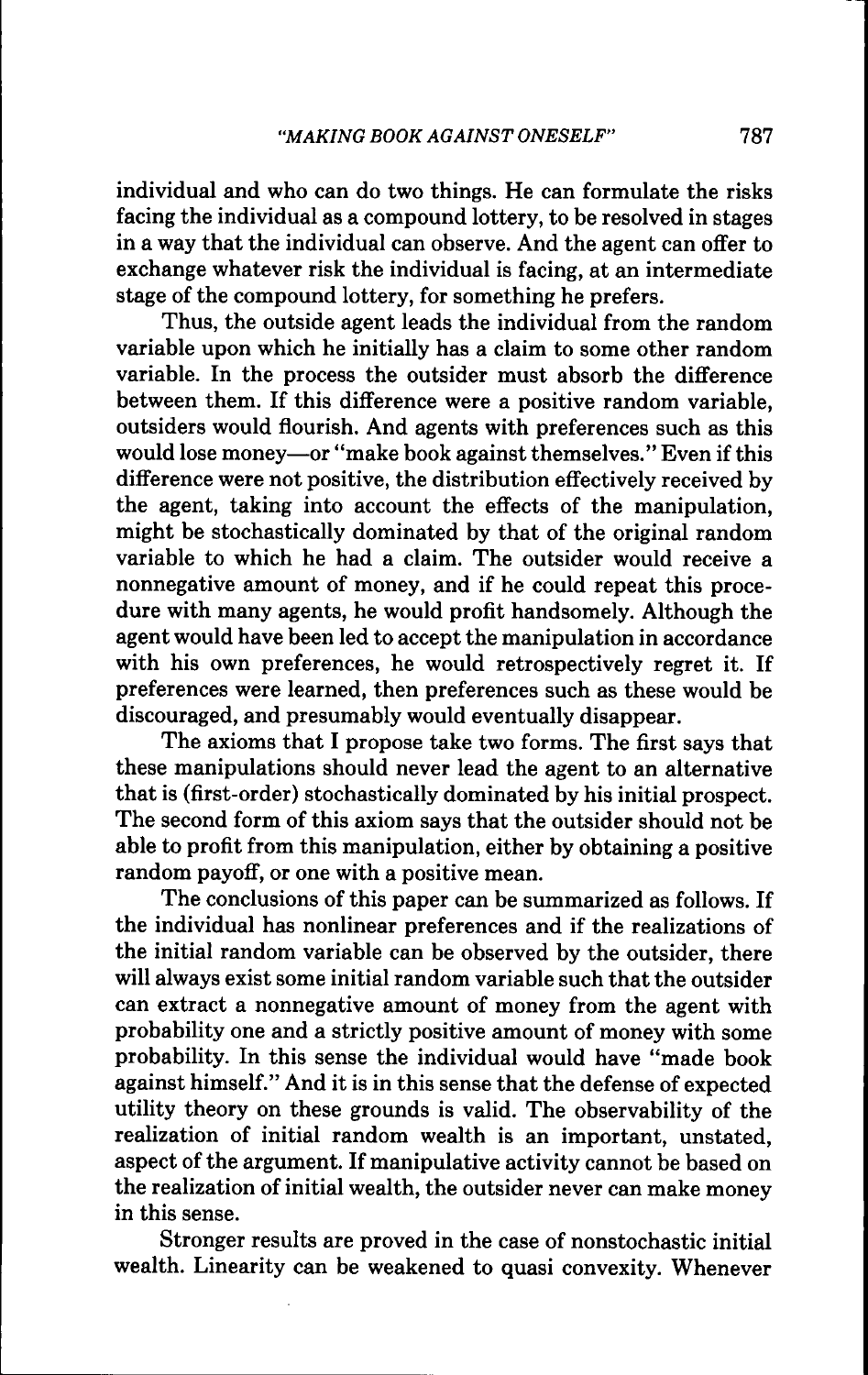individual and who can do two things. He can formulate the risks facing the individual as a compound lottery, to be resolved in stages in a way that the individual can observe. And the agent can offer to exchange whatever risk the individual is facing, at an intermediate stage of the compound lottery, for something he prefers.

Thus, the outside agent leads the individual from the random variable upon which he initially has a claim to some other random variable. In the process the outsider must absorb the difference between them. If this difference were a positive random variable, outsiders would flourish. And agents with preferences such as this would lose money—or "make book against themselves." Even if this difference were not positive, the distribution effectively received by the agent, taking into account the effects of the manipulation, might be stochastically dominated by that of the original random variable to which he had a claim. The outsider would receive a nonnegative amount of money, and if he could repeat this procedure with many agents, he would profit handsomely. Although the agent would have been led to accept the manipulation in accordance with his own preferences, he would retrospectively regret it. If preferences were learned, then preferences such as these would be discouraged, and presumably would eventually disappear.

The axioms that I propose take two forms. The first says that these manipulations should never lead the agent to an alternative that is (first-order) stochastically dominated by his initial prospect. The second form of this axiom says that the outsider should not be able to profit from this manipulation, either by obtaining a positive random payoff, or one with a positive mean.

The conclusions of this paper can be summarized as follows. If the individual has nonlinear preferences and if the realizations of the initial random variable can be observed by the outsider, there will always exist some initial random variable such that the outsider can extract a nonnegative amount of money from the agent with probability one and a strictly positive amount of money with some probability. In this sense the individual would have "made book against himself." And it is in this sense that the defense of expected utility theory on these grounds is valid. The observability of the realization of initial random wealth is an important, unstated, aspect of the argument. If manipulative activity cannot be based on the realization of initial wealth, the outsider never can make money in this sense.

Stronger results are proved in the case of nonstochastic initial wealth. Linearity can be weakened to quasi convexity. Whenever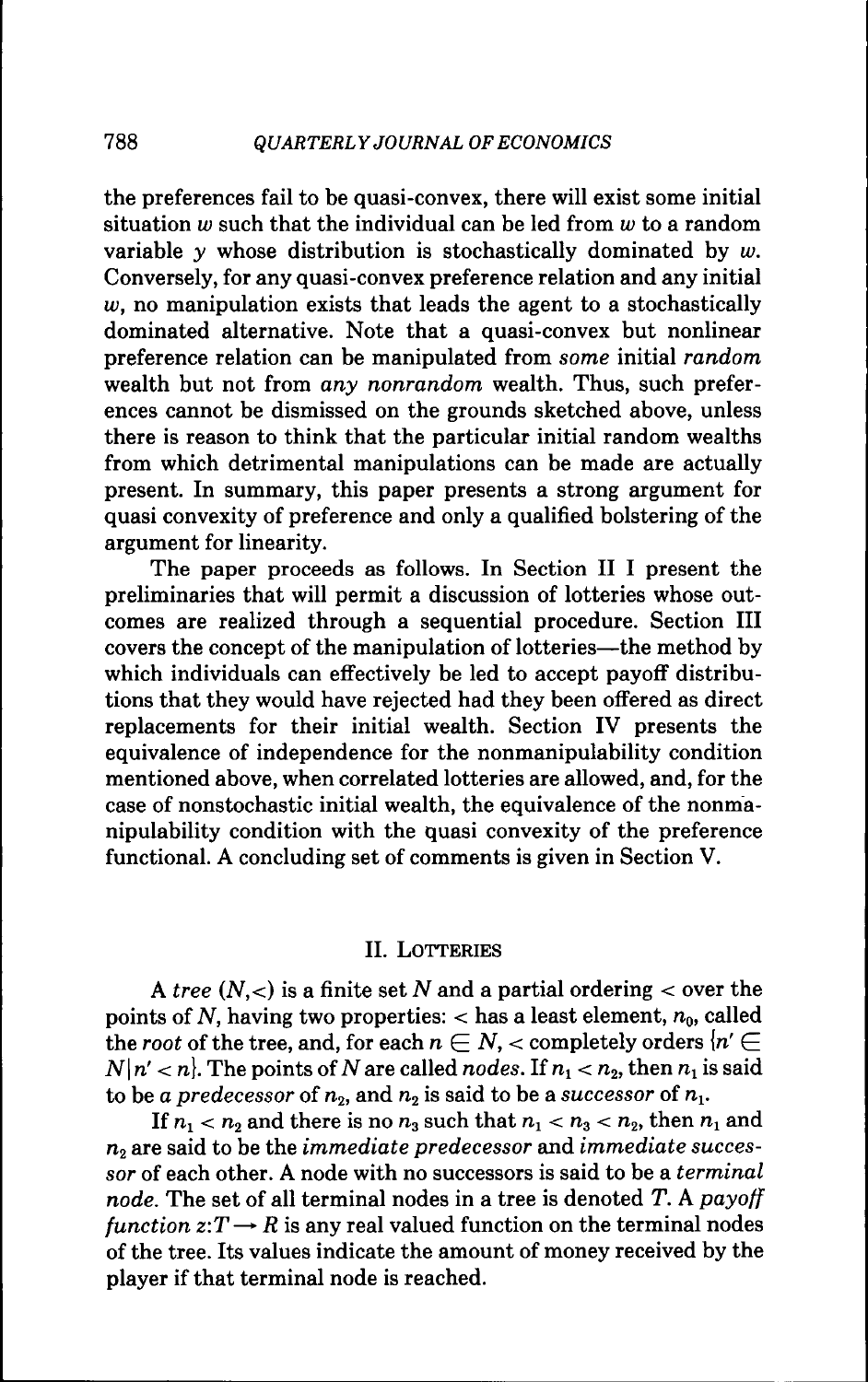the preferences fail to be quasi-convex, there will exist some initial situation  $w$  such that the individual can be led from  $w$  to a random variable *y* whose distribution is stochastically dominated by *w.* Conversely, for any quasi-convex preference relation and any initial *w,* no manipulation exists that leads the agent to a stochastically dominated alternative. Note that a quasi-convex but nonlinear preference relation can be manipulated from *some* initial *random* wealth but not from *any nonrandom* wealth. Thus, such preferences cannot be dismissed on the grounds sketched above, unless there is reason to think that the particular initial random wealths from which detrimental manipulations can be made are actually present. In summary, this paper presents a strong argument for quasi convexity of preference and only a qualified bolstering of the argument for linearity.

The paper proceeds as follows. In Section II I present the preliminaries that will permit a discussion of lotteries whose outcomes are realized through a sequential procedure. Section III covers the concept of the manipulation of lotteries—the method by which individuals can effectively be led to accept payoff distributions that they would have rejected had they been offered as direct replacements for their initial wealth. Section IV presents the equivalence of independence for the nonmanipulability condition mentioned above, when correlated lotteries are allowed, and, for the case of nonstochastic initial wealth, the equivalence of the nonmanipulability condition with the quasi convexity of the preference functional. A concluding set of comments is given in Section V.

#### II. LOTTERIES

A *tree {N,<)* is a finite set *N* and a partial ordering < over the points of N, having two properties:  $\langle$  has a least element,  $n_0$ , called the root of the tree, and, for each  $n \in N$ ,  $\lt$  completely orders  $\{n' \in N\}$  $N|n' < n$ . The points of N are called *nodes*. If  $n_1 < n_2$ , then  $n_1$  is said to be *a predecessor* of  $n_2$ , and  $n_2$  is said to be a *successor* of  $n_1$ .

If  $n_1 < n_2$  and there is no  $n_3$  such that  $n_1 < n_3 < n_2$ , then  $n_1$  and ^2 are said to be the *immediate predecessor* and *immediate successor* of each other. A node with no successors is said to be a *terminal node.* The set of all terminal nodes in a tree is denoted *T.* A *payoff function*  $z: T \to R$  is any real valued function on the terminal nodes of the tree. Its values indicate the amount of money received by the player if that terminal node is reached.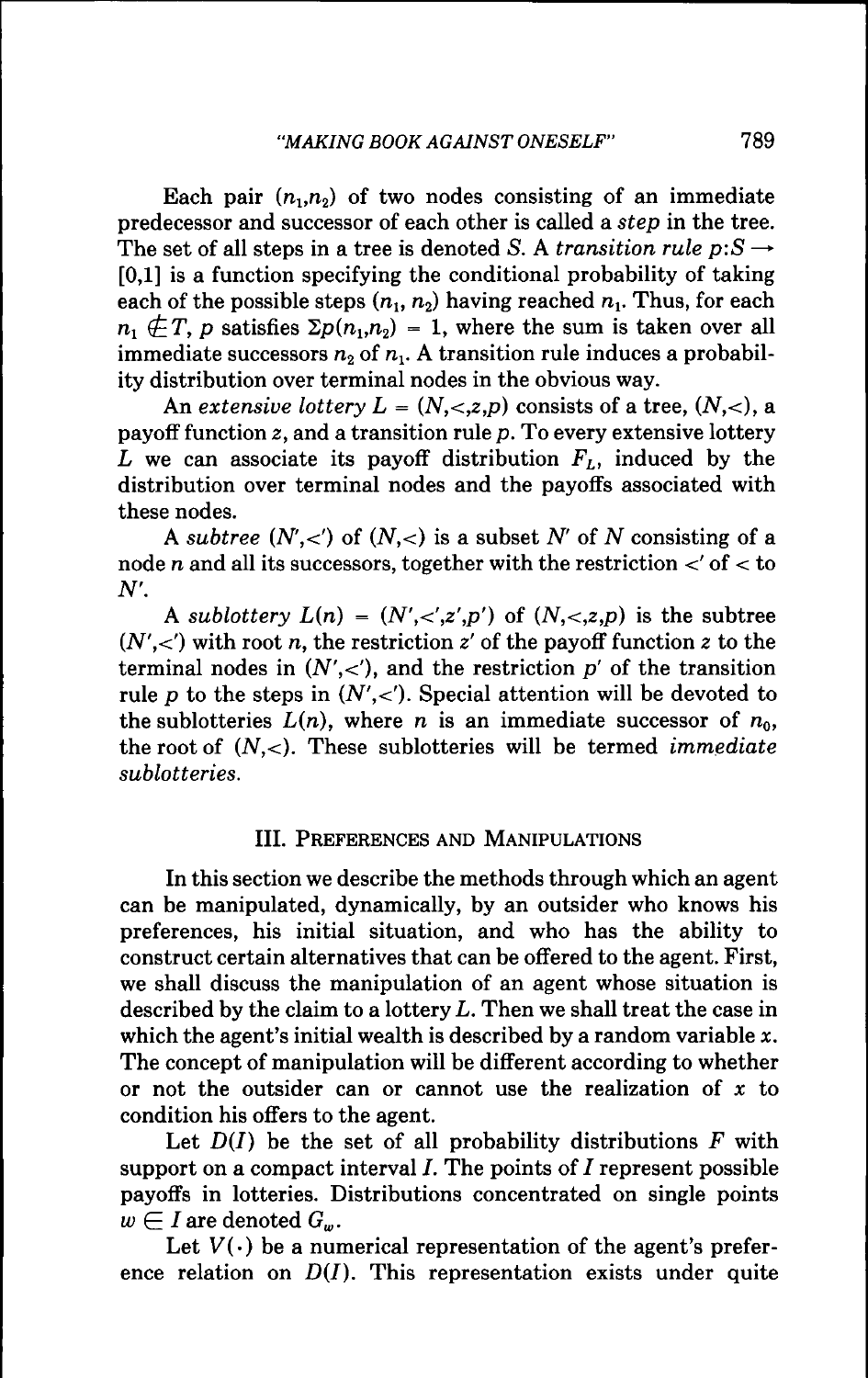Each pair  $(n_1,n_2)$  of two nodes consisting of an immediate predecessor and successor of each other is called a *step* in the tree. The set of all steps in a tree is denoted S. A *transition rule*  $p: S \rightarrow$  $[0,1]$  is a function specifying the conditional probability of taking each of the possible steps  $(n_1, n_2)$  having reached  $n_1$ . Thus, for each  $n_1 \notin T$ , p satisfies  $\Sigma p(n_1,n_2) = 1$ , where the sum is taken over all immediate successors  $n_2$  of  $n_1$ . A transition rule induces a probability distribution over terminal nodes in the obvious way.

An extensive lottery  $L = (N, <, z, p)$  consists of a tree,  $(N, <)$ , a payoff function 2, and a transition rule *p.* To every extensive lottery L we can associate its payoff distribution  $F<sub>L</sub>$ , induced by the distribution over terminal nodes and the payoffs associated with these nodes.

A *subtree (N',<')* of *{N,<)* is a subset *N'* of *N* consisting of a node *n* and all its successors, together with the restriction  $\langle$  of  $\langle$  to *N'.*

A *sublottery*  $L(n) = (N', \langle x', z', p' \rangle)$  of  $(N, \langle x', z, p \rangle)$  is the subtree  $(N',<')$  with root *n*, the restriction  $z'$  of the payoff function  $z$  to the terminal nodes in *(N',<'),* and the restriction *p'* of the transition rule *p* to the steps in  $(N',<')$ . Special attention will be devoted to the sublotteries  $L(n)$ , where *n* is an immediate successor of  $n_0$ , the root of *(N,<).* These sublotteries will be termed *immediate sublotteries.*

#### III. PREFERENCES AND MANIPULATIONS

In this section we describe the methods through which an agent can be manipulated, dynamically, by an outsider who knows his preferences, his initial situation, and who has the ability to construct certain alternatives that can be offered to the agent. First, we shall discuss the manipulation of an agent whose situation is described by the claim to a lottery L. Then we shall treat the case in which the agent's initial wealth is described by a random variable  $x$ . The concept of manipulation will be different according to whether or not the outsider can or cannot use the realization of *x* to condition his offers to the agent.

Let *Dil)* be the set of all probability distributions *F* with support on a compact interval  $I$ . The points of  $I$  represent possible payoffs in lotteries. Distributions concentrated on single points  $w \in I$  are denoted  $G_{w}$ .

Let  $V(\cdot)$  be a numerical representation of the agent's preference relation on  $D(I)$ . This representation exists under quite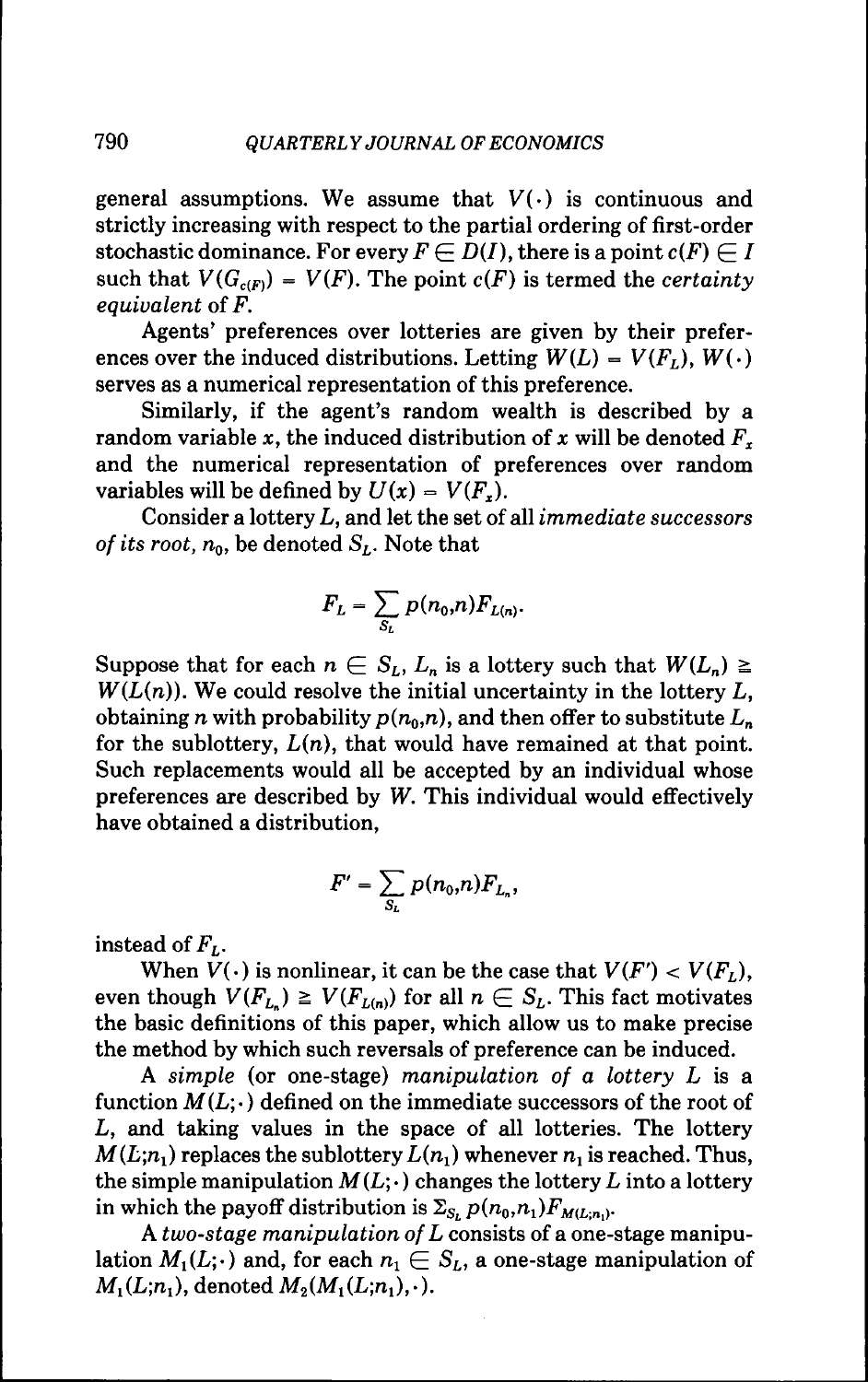general assumptions. We assume that  $V(\cdot)$  is continuous and strictly increasing with respect to the partial ordering of first-order stochastic dominance. For every  $F \in D(I)$ , there is a point  $c(F) \in I$ such that  $V(G_{c(F)}) = V(F)$ . The point  $c(F)$  is termed the *certainty equivalent* of *F.*

Agents' preferences over lotteries are given by their preferences over the induced distributions. Letting  $W(L) = V(F_L)$ ,  $W(\cdot)$ serves as a numerical representation of this preference.

Similarly, if the agent's random wealth is described by a random variable *x,* the induced distribution of *x* will be denoted *F^* and the numerical representation of preferences over random variables will be defined by  $U(x) = V(F_x)$ .

Consider a lottery L, and let the set of all *immediate successors of its root,*  $n_0$ , be denoted  $S_L$ . Note that

$$
F_L = \sum_{S_L} p(n_0, n) F_{L(n)}.
$$

Suppose that for each  $n \in S_i$ ,  $L_n$  is a lottery such that  $W(L_n) \geq$  $W(L(n))$ . We could resolve the initial uncertainty in the lottery  $L$ , obtaining *n* with probability  $p(n_0,n)$ , and then offer to substitute  $L_n$ for the sublottery,  $L(n)$ , that would have remained at that point. Such replacements would all be accepted by an individual whose preferences are described by *W.* This individual would effectively have obtained a distribution.

$$
F'=\sum_{S_L}p(n_0,n)F_{L_n},
$$

instead of *Fi.*

When  $V(\cdot)$  is nonlinear, it can be the case that  $V(F') < V(F_L)$ , even though  $V(F_L) \geq V(F_{L(n)})$  for all  $n \in S_L$ . This fact motivates the basic definitions of this paper, which allow us to make precise the method by which such reversals of preference can be induced.

A *simple* (or one-stage) *manipulation of a lottery* L is a function  $M(L;.)$  defined on the immediate successors of the root of *L,* and taking values in the space of all lotteries. The lottery  $M(L;n_1)$  replaces the sublottery  $L(n_1)$  whenever  $n_1$  is reached. Thus, the simple manipulation  $M(L; \cdot)$  changes the lottery L into a lottery in which the payoff distribution is  $\Sigma_{S}$ ,  $p(n_0,n_1)F_{M(L;n_0)}$ .

A *two-stage manipulation ofL* consists of a one-stage manipulation  $M_1(L; \cdot)$  and, for each  $n_1 \in S_L$ , a one-stage manipulation of  $M_1(L;n_1)$ , denoted  $M_2(M_1(L;n_1),\cdot)$ .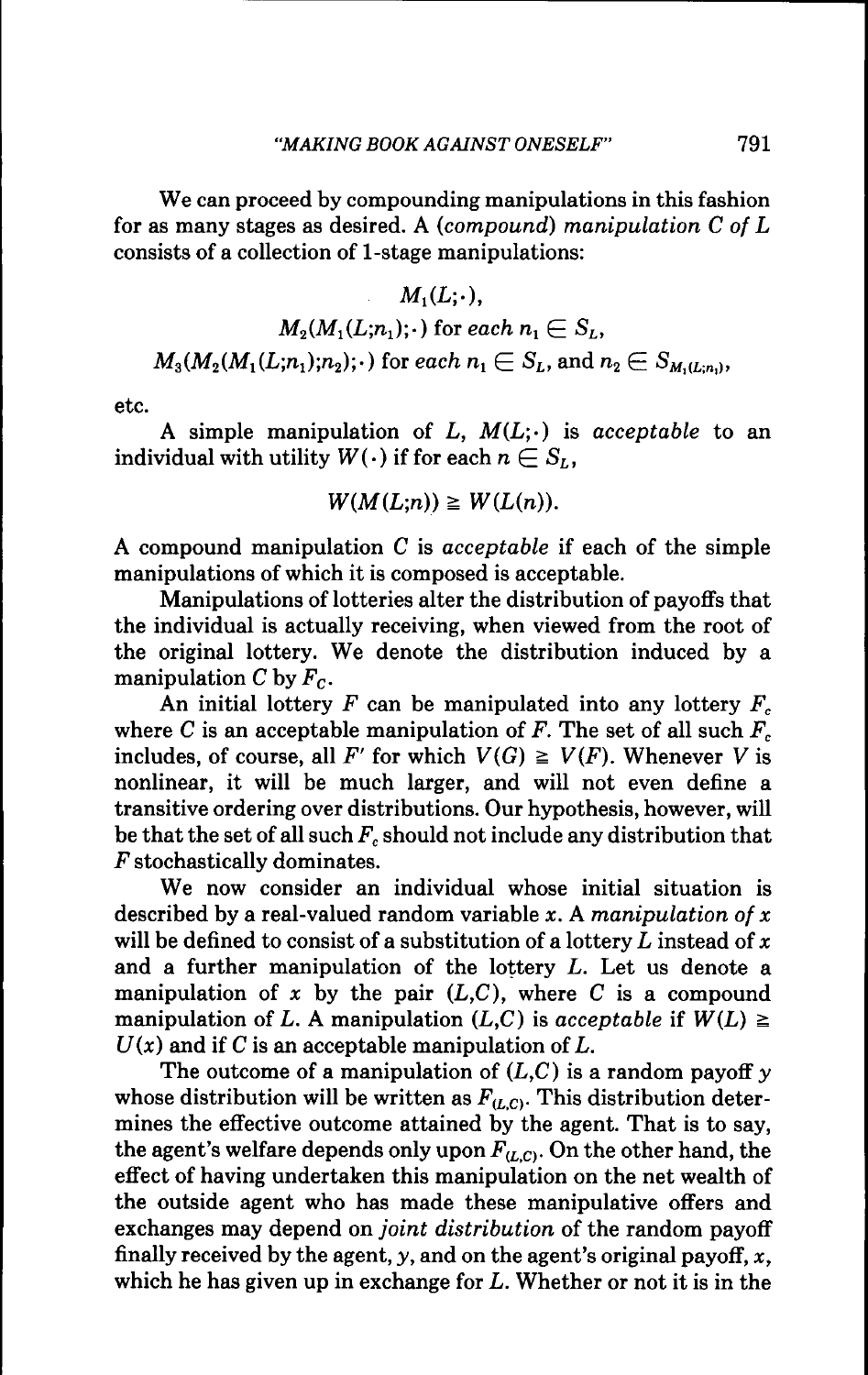We can proceed by compounding manipulations in this fashion for as many stages as desired. A *(compound) manipulation C of L* consists of a collection of 1-stage manipulations:

$$
M_1(L; \cdot),
$$
  
\n
$$
M_2(M_1(L; n_1); \cdot) \text{ for each } n_1 \in S_L,
$$
  
\n
$$
M_3(M_2(M_1(L; n_1); n_2); \cdot) \text{ for each } n_1 \in S_L, \text{ and } n_2 \in S_{M_1(L; n_1)}.
$$

etc.

A simple manipulation of  $L$ ,  $M(L; \cdot)$  is acceptable to an individual with utility  $W(\cdot)$  if for each  $n \in S_L$ ,

$$
W(M(L;n))\geq W(L(n)).
$$

A compound manipulation C is *acceptable* if each of the simple manipulations of which it is composed is acceptable.

Manipulations of lotteries alter the distribution of payoffs that the individual is actually receiving, when viewed from the root of the original lottery. We denote the distribution induced by a manipulation C by  $F_c$ .

An initial lottery  $F$  can be manipulated into any lottery  $F_c$ where *C* is an acceptable manipulation of *F*. The set of all such  $F_c$ includes, of course, all F' for which  $V(G) \geq V(F)$ . Whenever *V* is nonlinear, it will be much larger, and will not even define a transitive ordering over distributions. Our hypothesis, however, will be that the set of all such *F^* should not include any distribution that *F* stochastically dominates.

We now consider an individual whose initial situation is described by a real-valued random variable *x.* A *manipulation of x* will be defined to consist of a substitution of a lottery *L* instead of *x* and a further manipulation of the lottery L. Let us denote a manipulation of x by the pair *{L,C),* where C is a compound manipulation of L. A manipulation  $(L,C)$  is acceptable if  $W(L) \geq$  $U(x)$  and if C is an acceptable manipulation of L.

The outcome of a manipulation of *{L,C)* is a random payoff *y* whose distribution will be written as  $F_{(L,C)}$ . This distribution determines the effective outcome attained by the agent. That is to say, the agent's welfare depends only upon  $F_{(L,C)}$ . On the other hand, the effect of having undertaken this manipulation on the net wealth of the outside agent who has made these manipulative offers and exchanges may depend on *joint distribution* of the random payoff finally received by the agent, *y,* and on the agent's original payoff, *x,* which he has given up in exchange for  $L$ . Whether or not it is in the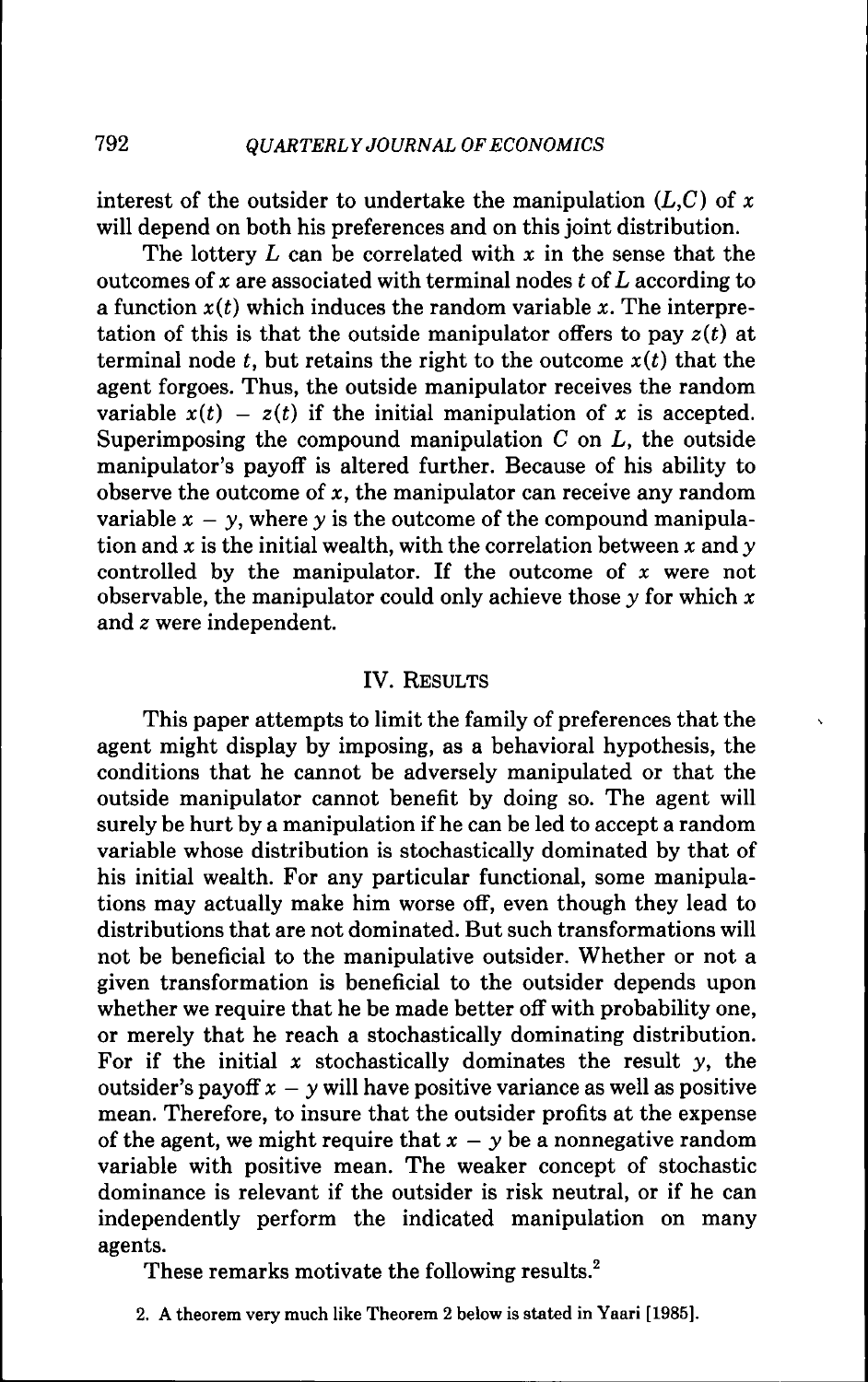interest of the outsider to undertake the manipulation *{L,C)* of *x* will depend on both his preferences and on this joint distribution.

The lottery L can be correlated with *x* in the sense that the outcomes of x are associated with terminal nodes  $t$  of  $L$  according to a function  $x(t)$  which induces the random variable x. The interpretation of this is that the outside manipulator offers to pay *z{t)* at terminal node  $t$ , but retains the right to the outcome  $x(t)$  that the agent forgoes. Thus, the outside manipulator receives the random variable  $x(t) - z(t)$  if the initial manipulation of x is accepted. Superimposing the compound manipulation  $C$  on  $L$ , the outside manipulator's payoff is altered further. Because of his ahility to ohserve the outcome of *x,* the manipulator can receive any random variable  $x - y$ , where y is the outcome of the compound manipulation and  $x$  is the initial wealth, with the correlation between  $x$  and  $y$ controlled by the manipulator. If the outcome of *x* were not ohservahle, the manipulator could only achieve those *y* for which *x* and 2 were independent.

#### IV. RESULTS

This paper attempts to limit the family of preferences that the agent might display hy imposing, as a behavioral hypothesis, the conditions that he cannot be adversely manipulated or that the outside manipulator cannot henefit by doing so. The agent will surely he hurt hy a manipulation if he can he led to accept a random variahle whose distrihution is stochastically dominated hy that of his initial wealth. For any particular functional, some manipulations may actually make him worse off, even though they lead to distributions that are not dominated. But such transformations will not he beneficial to the manipulative outsider. Whether or not a given transformation is beneficial to the outsider depends upon whether we require that he be made better off with probability one, or merely that he reach a stochastically dominating distrihution. For if the initial *x* stochastically dominates the result *y,* the outsider's payoff  $x - y$  will have positive variance as well as positive mean. Therefore, to insure that the outsider profits at the expense of the agent, we might require that  $x - y$  be a nonnegative random variahle with positive mean. The weaker concept of stochastic dominance is relevant if the outsider is risk neutral, or if he can independently perform the indicated manipulation on many agents.

These remarks motivate the following results.<sup>2</sup>

<sup>2.</sup> A theorem very much like Theorem 2 below is stated in Yaari [1985].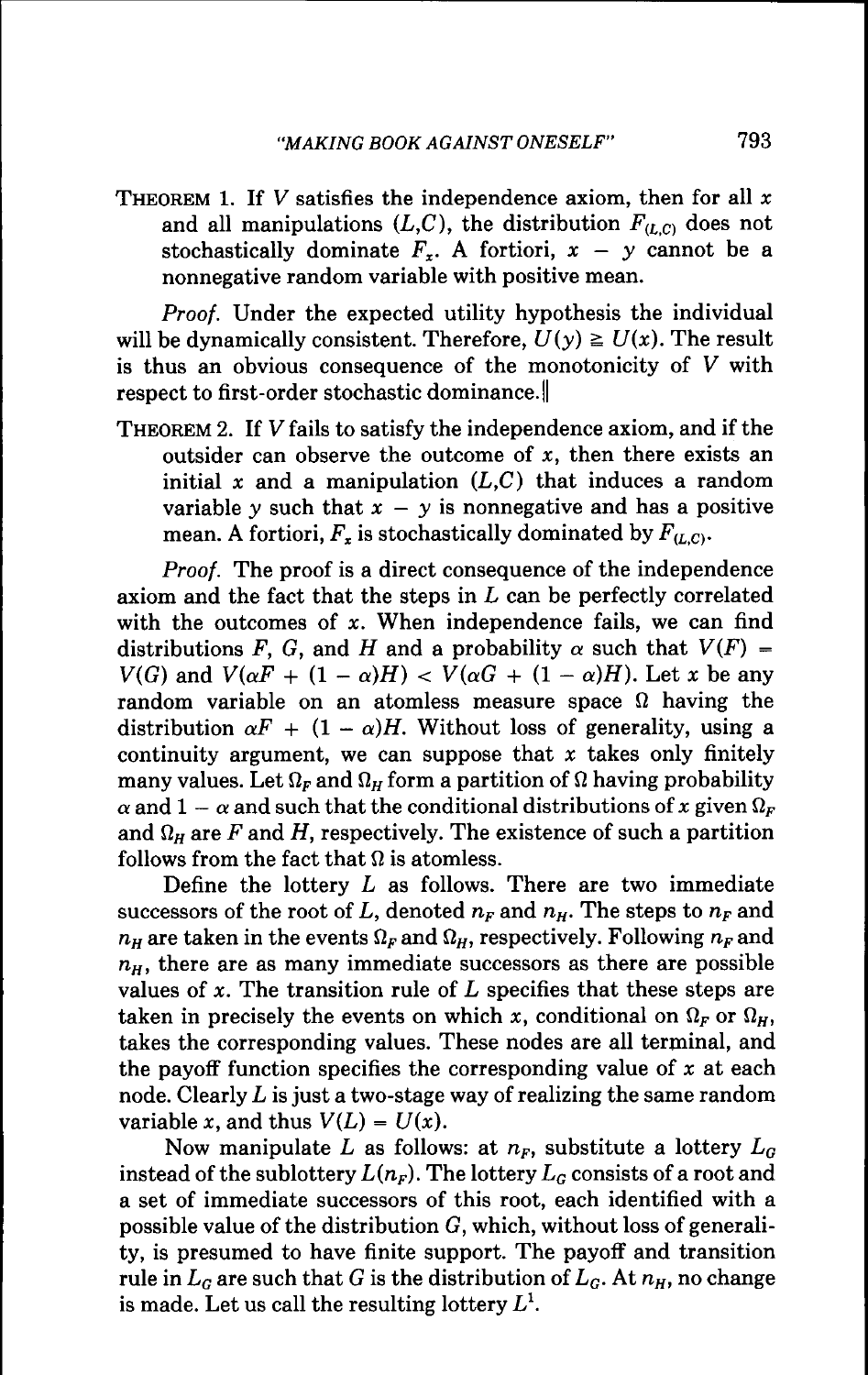THEOREM 1. If V satisfies the independence axiom, then for all *x* and all manipulations  $(L, C)$ , the distribution  $F_{(L,C)}$  does not stochastically dominate  $F_x$ . A fortiori,  $x - y$  cannot be a nonnegative random variable with positive mean.

*Proof.* Under the expected utility hypothesis the individual will be dynamically consistent. Therefore,  $U(y) \ge U(x)$ . The result is thus an obvious consequence of the monotonicity of *V* with respect to first-order stochastic dominance. ||

THEOREM 2. If *V* fails to satisfy the independence axiom, and if the outsider can observe the outcome of *x,* then there exists an initial *x* and a manipulation *{L,C)* that induces a random variable *y* such that  $x - y$  is nonnegative and has a positive mean. A fortiori,  $F_r$  is stochastically dominated by  $F_{(L,C)}$ .

*Proof.* The proof is a direct consequence of the independence axiom and the fact that the steps in *L* can be perfectly correlated with the outcomes of *x.* When independence fails, we can find distributions F, G, and H and a probability  $\alpha$  such that  $V(F)$  =  $V(G)$  and  $V(\alpha F + (1 - \alpha)H) < V(\alpha G + (1 - \alpha)H)$ . Let *x* be any random variable on an atomless measure space  $\Omega$  having the distribution  $\alpha F + (1 - \alpha)H$ . Without loss of generality, using a continuity argument, we can suppose that *x* takes only finitely many values. Let  $\Omega_F$  and  $\Omega_H$  form a partition of  $\Omega$  having probability  $\alpha$  and 1 –  $\alpha$  and such that the conditional distributions of x given  $\Omega_F$ and  $\Omega_H$  are F and H, respectively. The existence of such a partition follows from the fact that  $\Omega$  is atomless.

Define the lottery  $L$  as follows. There are two immediate successors of the root of L, denoted  $n_F$  and  $n_H$ . The steps to  $n_F$  and  $n_H$  are taken in the events  $\Omega_F$  and  $\Omega_H$ , respectively. Following  $n_F$  and  $n_H$ , there are as many immediate successors as there are possible values of *x.* The transition rule of *L* specifies that these steps are taken in precisely the events on which x, conditional on  $\Omega_F$  or  $\Omega_H$ , takes the corresponding values. These nodes are all terminal, and the payoff function specifies the corresponding value of *x* at each node. Clearly  $L$  is just a two-stage way of realizing the same random variable x, and thus  $V(L) = U(x)$ .

Now manipulate *L* as follows: at  $n_F$ , substitute a lottery  $L_G$ instead of the sublottery  $L(n_F)$ . The lottery  $L_G$  consists of a root and a set of immediate successors of this root, each identified with a possible value of the distribution  $G$ , which, without loss of generality, is presumed to have finite support. The payoff and transition rule in  $L_G$  are such that G is the distribution of  $L_G$ . At  $n_H$ , no change is made. Let us call the resulting lottery  $L<sup>1</sup>$ .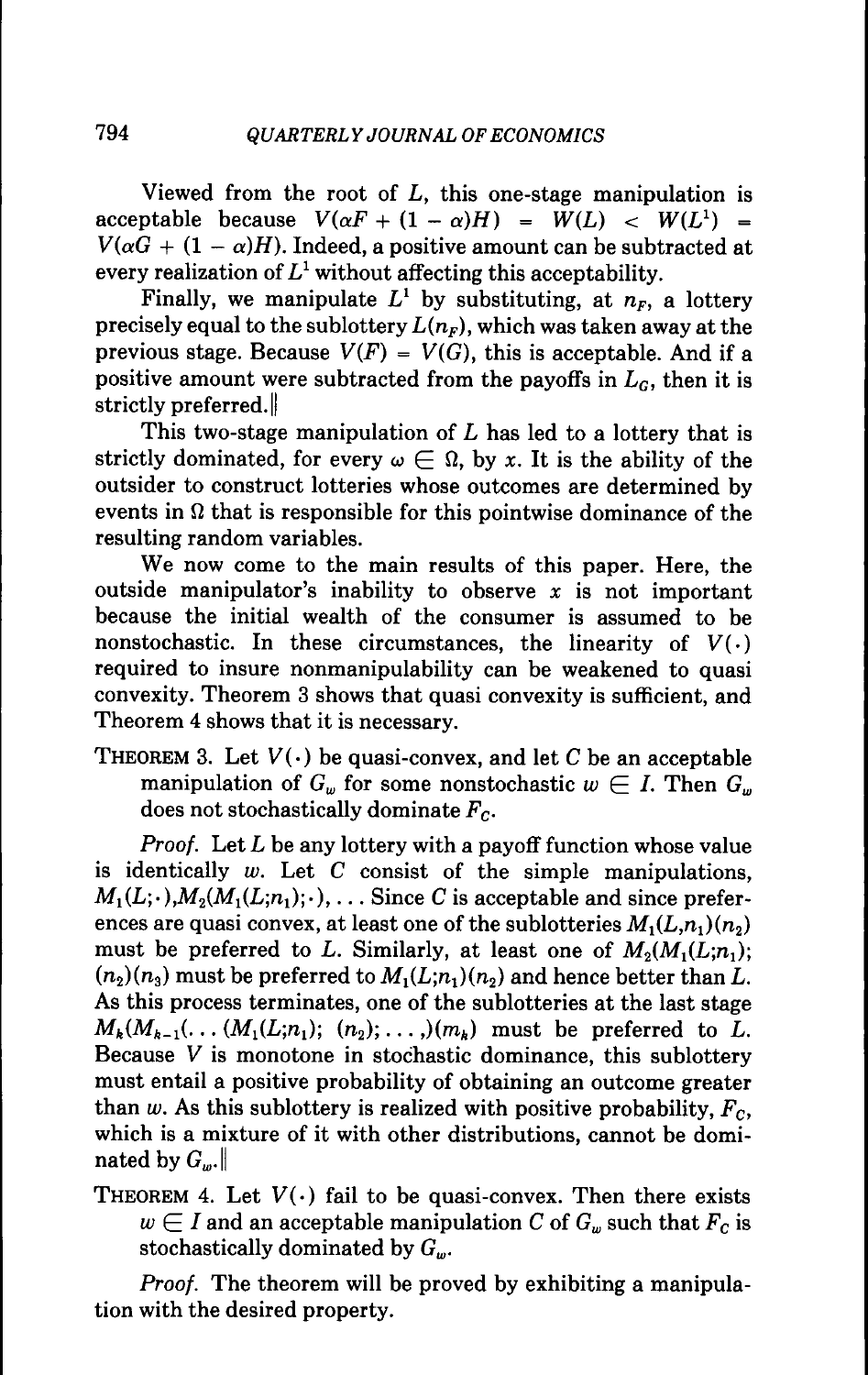Viewed from the root of  $L$ , this one-stage manipulation is acceptable because  $V(\alpha F + (1 - \alpha)H) = W(L) < W(L^1) =$  $V(\alpha G + (1 - \alpha)H)$ . Indeed, a positive amount can be subtracted at every realization of  $L^1$  without affecting this acceptability.

Finally, we manipulate  $L^1$  by substituting, at  $n_F$ , a lottery precisely equal to the sublottery  $L(n_F)$ , which was taken away at the previous stage. Because  $V(F) = V(G)$ , this is acceptable. And if a positive amount were subtracted from the payoffs in *La,* then it is strictly preferred. ||

This two-stage manipulation of *L* has led to a lottery that is strictly dominated, for every  $\omega \in \Omega$ , by x. It is the ability of the outsider to construct lotteries whose outcomes are determined by events in  $\Omega$  that is responsible for this pointwise dominance of the resulting random variables.

We now come to the main results of this paper. Here, the outside manipulator's inability to observe *x* is not important because the initial wealth of the consumer is assumed to be nonstochastic. In these circumstances, the linearity of  $V(.)$ required to insure nonmanipulability can be weakened to quasi convexity. Theorem 3 shows that quasi convexity is sufficient, and Theorem 4 shows that it is necessary.

THEOREM 3. Let  $V(\cdot)$  be quasi-convex, and let C be an acceptable manipulation of  $G_w$  for some nonstochastic  $w \in I$ . Then  $G_w$ does not stochastically dominate  $F_c$ .

*Proof.* Let L be any lottery with a payoff function whose value is identically *w.* Let C consist of the simple manipulations,  $M_1(L; \cdot), M_2(M_1(L; n_1); \cdot), \ldots$  Since C is acceptable and since preferences are quasi convex, at least one of the sublotteries  $M_1(L,n_1)(n_2)$ must be preferred to L. Similarly, at least one of  $M_2(M_1(L; n_1))$ ;  $(n_2)(n_3)$  must be preferred to  $M_1(L;n_1)(n_2)$  and hence better than L. As this process terminates, one of the sublotteries at the last stage  $M_k(M_{k-1}(\ldots (M_1(L;n_1); (n_2); \ldots))(m_k)$  must be preferred to L. Because *V* is monotone in stochastic dominance, this sublottery must entail a positive probability of obtaining an outcome greater than *w.* As this sublottery is realized with positive probability, *Fc,* which is a mixture of it with other distributions, cannot be dominated by  $G_{\mu\nu}$ .

THEOREM 4. Let  $V(\cdot)$  fail to be quasi-convex. Then there exists  $w \in I$  and an acceptable manipulation C of  $G_w$  such that  $F_c$  is stochastically dominated by  $G_w$ .

*Proof.* The theorem will be proved by exhibiting a manipulation with the desired property.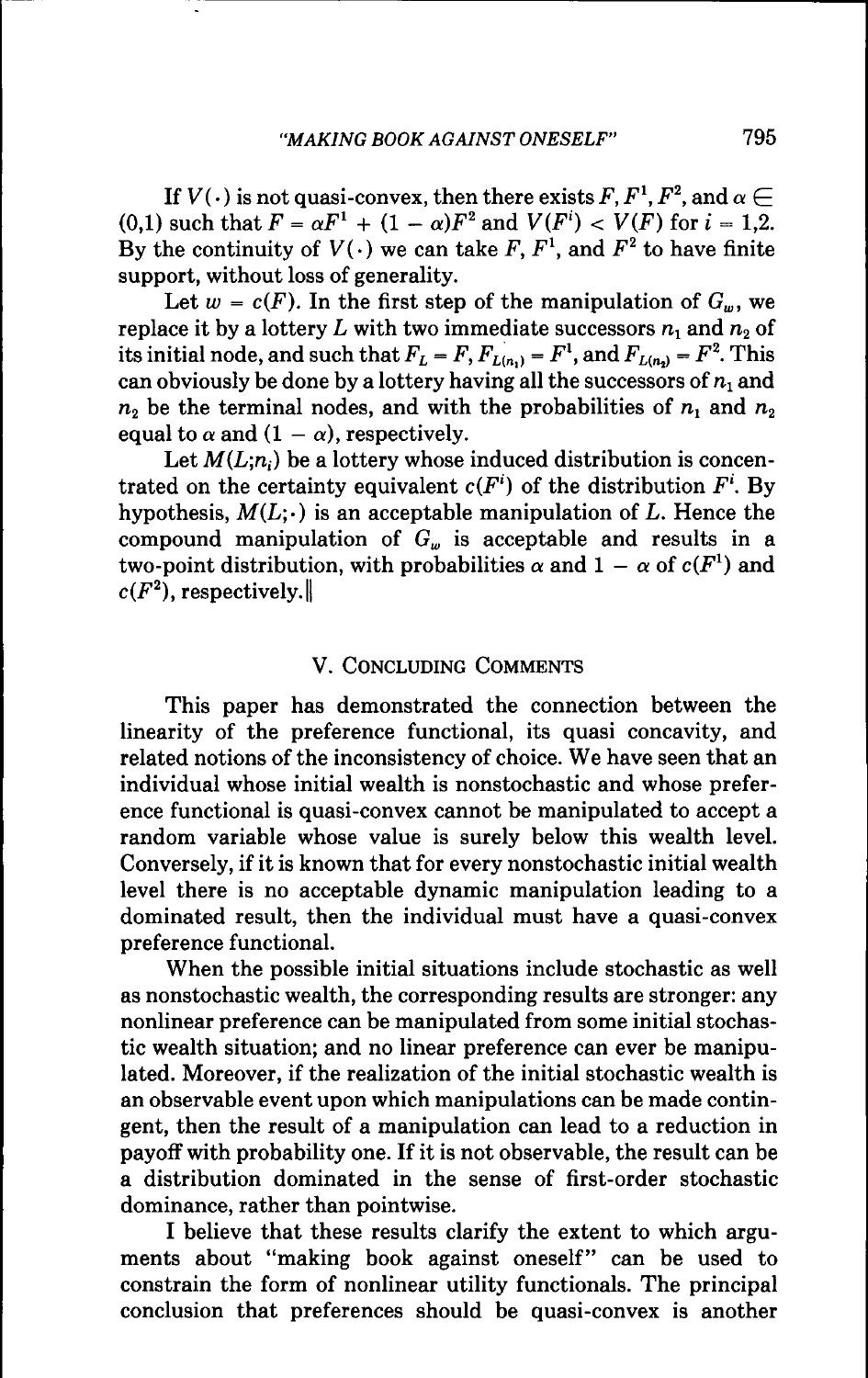If  $V(\cdot)$  is not quasi-convex, then there exists  $F, F^1, F^2$ , and  $\alpha \in$ (0.1) such that  $F = \alpha F^1 + (1 - \alpha)F^2$  and  $V(F^i) < V(F)$  for  $i = 1,2$ . By the continuity of  $V(\cdot)$  we can take *F*,  $F^1$ , and  $F^2$  to have finite support, without loss of generality.

Let  $w = c(F)$ . In the first step of the manipulation of  $G<sub>m</sub>$ , we replace it by a lottery L with two immediate successors  $n_1$  and  $n_2$  of its initial node, and such that  $F_L = F$ ,  $F_{L(n_1)} = F^1$ , and  $F_{L(n_2)} = F^2$ . This can obviously be done by a lottery having all the successors of  $n_1$  and  $n_2$  be the terminal nodes, and with the probabilities of  $n_1$  and  $n_2$ equal to  $\alpha$  and  $(1 - \alpha)$ , respectively.

Let  $M(L:n_i)$  be a lottery whose induced distribution is concentrated on the certainty equivalent  $c(F^i)$  of the distribution  $F^i$ . By hypothesis,  $M(L; \cdot)$  is an acceptable manipulation of L. Hence the compound manipulation of  $G_w$  is acceptable and results in a two-point distribution, with probabilities  $\alpha$  and  $1 - \alpha$  of  $c(F^1)$  and  $c(F^2)$ , respectively.

#### V. CONCLUDING COMMENTS

This paper has demonstrated the connection between the linearity of the preference functional, its quasi concavity, and related notions of the inconsistency of choice. We have seen that an individual whose initial wealth is nonstochastic and whose preference functional is quasi-convex cannot be manipulated to accept a random variable whose value is surely below this wealth level. Conversely, if it is known that for every nonstochastic initial wealth level there is no acceptable dynamic manipulation leading to a dominated result, then the individual must have a quasi-convex preference functional.

When the possible initial situations include stochastic as well as nonstochastic wealth, the corresponding results are stronger: any nonlinear preference can be manipulated from some initial stochastic wealth situation; and no linear preference can ever be manipulated. Moreover, if the realization of the initial stochastic wealth is an observable event upon which manipulations can be made contingent, then the result of a manipulation can lead to a reduction in payoff with probability one. If it is not observable, the result can be a distribution dominated in the sense of first-order stochastic dominance, rather than pointwise.

I believe that these results clarify the extent to which arguments about "making book against oneself" can be used to constrain the form of nonlinear utility functionals. The principal conclusion that preferences should be quasi-convex is another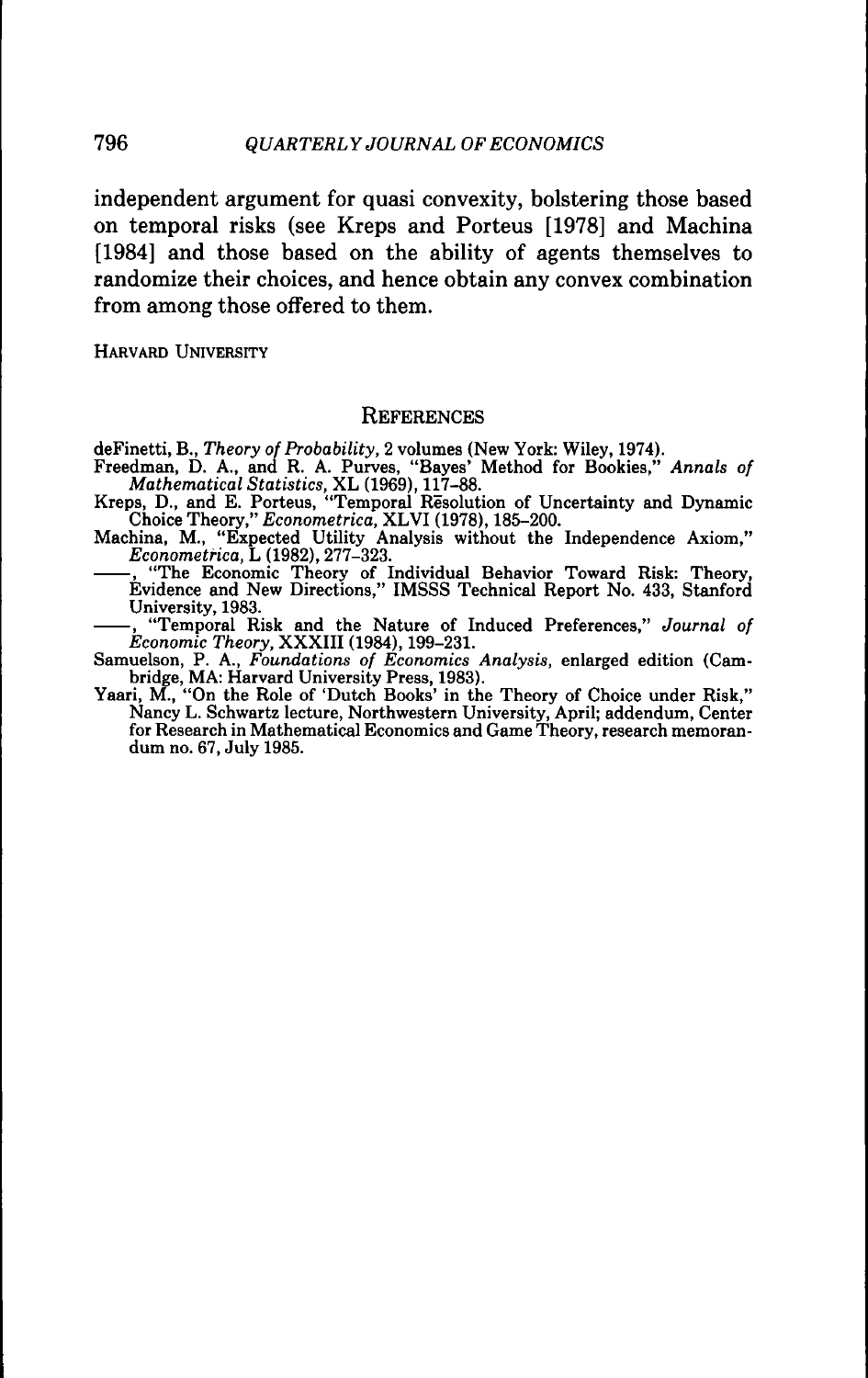independent argument for quasi convexity, bolstering those based on temporal risks (see Kreps and Porteus [1978] and Machina [1984] and those based on the ability of agents themselves to randomize their choices, and hence obtain any convex combination from among those offered to them.

HARVARD UNIVERSITY

#### **REFERENCES**

deFinetti, B., *Theory of Probability,* 2 volumes (New York: Wiley, 1974).

Freedman, D. A., and R. A. Purves, "Bayes' Method for Bookies," *Annals of Mathematical Statistics,* XL (1969), 117-88.

Kreps, D., and E. Porteus, "Temporal Resolution of Uncertainty and Dynamic Choice Theory," *Econometrica,* XLVI (1978), 185-200.

Machina, M., "Expected Utility Analysis without the Independence Axiom," *Econometrica, L* (1982), 277-323.

, "The Economic Theory of Individual Behavior Toward Risk: Theory, Evidence and New Directions," IMSSS Technical Report No. 433, Stanford University, 1983.

, "Temporal Risk and the Nature of Induced Preferences," *Journal of Economic Theory,* XXXIII (1984), 199-231.

Samuelson, P. A., *Foundations of Economics Analysis,* enlarged edition (Cambridge, MA: Harvard University Press, 1983). Yaari, M., "On the Role of 'Dutch Books' in the Theory of Choice under Risk,"

Nancy L. Schwartz lecture. Northwestern University, April; addendum. Center for Research in Mathematical Economics and Game Theory, research memorandum no. 67, July 1985.